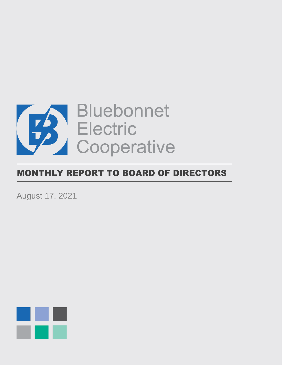

# MONTHLY REPORT TO BOARD OF DIRECTORS

August 17, 2021

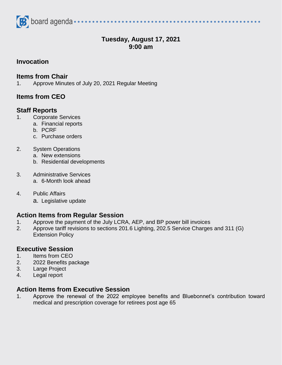

# **Tuesday, August 17, 2021 9:00 am**

## **Invocation**

#### **Items from Chair**

1. Approve Minutes of July 20, 2021 Regular Meeting

# **Items from CEO**

## **Staff Reports**

- 1. Corporate Services
	- a. Financial reports
	- b. PCRF
	- c. Purchase orders
- 2. System Operations
	- a. New extensions
	- b. Residential developments
- 3. Administrative Services a. 6-Month look ahead
- 4. Public Affairs
	- a. Legislative update

## **Action Items from Regular Session**

- 1. Approve the payment of the July LCRA, AEP, and BP power bill invoices
- 2. Approve tariff revisions to sections 201.6 Lighting, 202.5 Service Charges and 311 (G) Extension Policy

## **Executive Session**

- 1. Items from CEO
- 2. 2022 Benefits package
- 3. Large Project
- 4. Legal report

#### **Action Items from Executive Session**

1. Approve the renewal of the 2022 employee benefits and Bluebonnet's contribution toward medical and prescription coverage for retirees post age 65